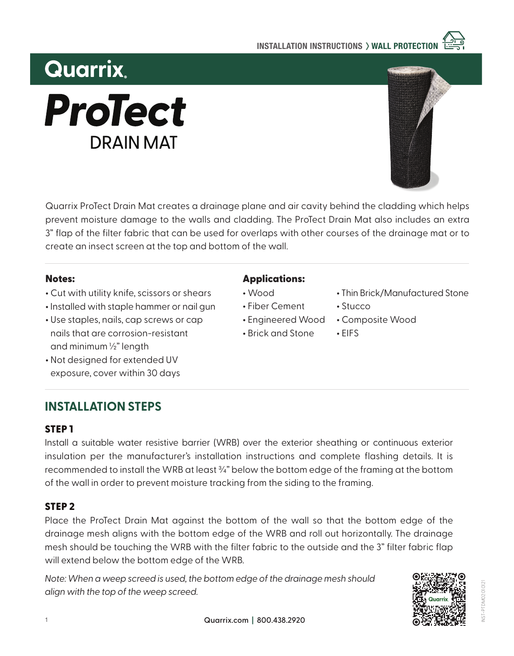

# **Quarrix ProTect DRAIN MAT**

Quarrix ProTect Drain Mat creates a drainage plane and air cavity behind the cladding which helps prevent moisture damage to the walls and cladding. The ProTect Drain Mat also includes an extra 3" flap of the filter fabric that can be used for overlaps with other courses of the drainage mat or to create an insect screen at the top and bottom of the wall.

#### Notes:

- **•** Cut with utility knife, scissors or shears
- **•** Installed with staple hammer or nail gun
- **•** Use staples, nails, cap screws or cap nails that are corrosion-resistant and minimum ½" length
- **•** Not designed for extended UV exposure, cover within 30 days

# **INSTALLATION STEPS**

### STEP 1

Install a suitable water resistive barrier (WRB) over the exterior sheathing or continuous exterior insulation per the manufacturer's installation instructions and complete flashing details. It is recommended to install the WRB at least ¾" below the bottom edge of the framing at the bottom of the wall in order to prevent moisture tracking from the siding to the framing.

## STEP 2

Place the ProTect Drain Mat against the bottom of the wall so that the bottom edge of the drainage mesh aligns with the bottom edge of the WRB and roll out horizontally. The drainage mesh should be touching the WRB with the filter fabric to the outside and the 3" filter fabric flap will extend below the bottom edge of the WRB.

*Note: When a weep screed is used, the bottom edge of the drainage mesh should align with the top of the weep screed.*

## Applications:

- **•** Wood
- **•** Fiber Cement
- **•** Engineered Wood
- **•** Brick and Stone
- **•** Thin Brick/Manufactured Stone
- **•** Stucco
- **•** Composite Wood
- **•** EIFS

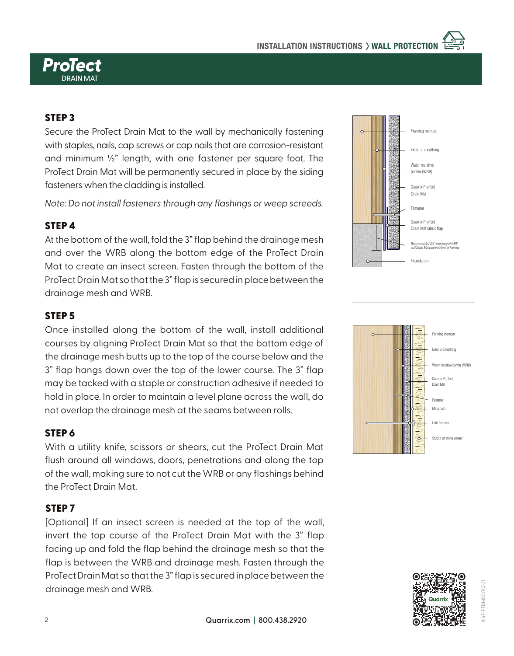

#### STEP 3

Secure the ProTect Drain Mat to the wall by mechanically fastening with staples, nails, cap screws or cap nails that are corrosion-resistant and minimum ½" length, with one fastener per square foot. The ProTect Drain Mat will be permanently secured in place by the siding fasteners when the cladding is installed.

*Note: Do not install fasteners through any flashings or weep screeds.*

#### STEP 4

At the bottom of the wall, fold the 3" flap behind the drainage mesh and over the WRB along the bottom edge of the ProTect Drain Mat to create an insect screen. Fasten through the bottom of the ProTect Drain Mat so that the 3" flap is secured in place between the drainage mesh and WRB.

#### STEP 5

Once installed along the bottom of the wall, install additional courses by aligning ProTect Drain Mat so that the bottom edge of the drainage mesh butts up to the top of the course below and the 3" flap hangs down over the top of the lower course. The 3" flap may be tacked with a staple or construction adhesive if needed to hold in place. In order to maintain a level plane across the wall, do not overlap the drainage mesh at the seams between rolls.

#### STEP 6

With a utility knife, scissors or shears, cut the ProTect Drain Mat flush around all windows, doors, penetrations and along the top of the wall, making sure to not cut the WRB or any flashings behind the ProTect Drain Mat.

#### STEP 7

[Optional] If an insect screen is needed at the top of the wall, invert the top course of the ProTect Drain Mat with the 3" flap facing up and fold the flap behind the drainage mesh so that the flap is between the WRB and drainage mesh. Fasten through the ProTect Drain Mat so that the 3" flap is secured in place between the drainage mesh and WRB.